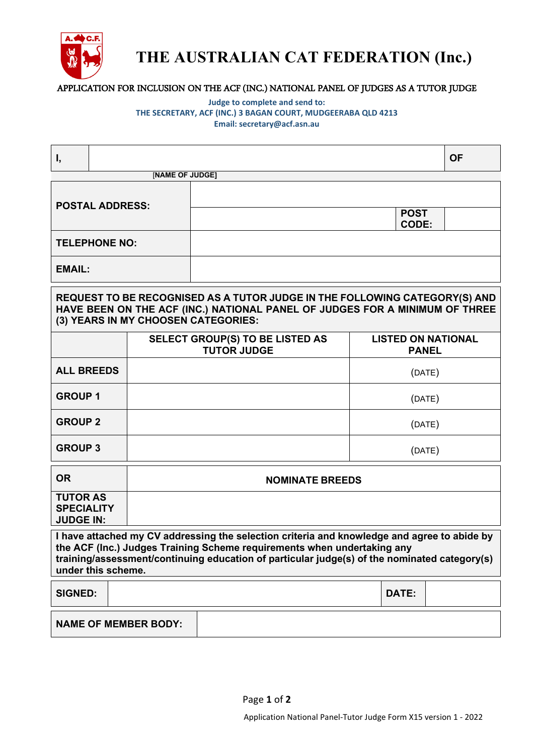

## **THE AUSTRALIAN CAT FEDERATION (Inc.)**

### APPLICATION FOR INCLUSION ON THE ACF (INC.) NATIONAL PANEL OF JUDGES AS A TUTOR JUDGE

#### **Judge to complete and send to: THE SECRETARY, ACF (INC.) 3 BAGAN COURT, MUDGEERABA QLD 4213 Email: secretary@acf.asn.au**

| Ι,                                                                                                                                                                                                                                                                                           |  |                        |                                                              |                                           |                             | <b>OF</b> |  |
|----------------------------------------------------------------------------------------------------------------------------------------------------------------------------------------------------------------------------------------------------------------------------------------------|--|------------------------|--------------------------------------------------------------|-------------------------------------------|-----------------------------|-----------|--|
|                                                                                                                                                                                                                                                                                              |  | [NAME OF JUDGE]        |                                                              |                                           |                             |           |  |
| <b>POSTAL ADDRESS:</b>                                                                                                                                                                                                                                                                       |  |                        |                                                              |                                           |                             |           |  |
|                                                                                                                                                                                                                                                                                              |  |                        |                                                              |                                           | <b>POST</b><br><b>CODE:</b> |           |  |
| <b>TELEPHONE NO:</b>                                                                                                                                                                                                                                                                         |  |                        |                                                              |                                           |                             |           |  |
| <b>EMAIL:</b>                                                                                                                                                                                                                                                                                |  |                        |                                                              |                                           |                             |           |  |
| REQUEST TO BE RECOGNISED AS A TUTOR JUDGE IN THE FOLLOWING CATEGORY(S) AND<br>HAVE BEEN ON THE ACF (INC.) NATIONAL PANEL OF JUDGES FOR A MINIMUM OF THREE<br>(3) YEARS IN MY CHOOSEN CATEGORIES:                                                                                             |  |                        |                                                              |                                           |                             |           |  |
|                                                                                                                                                                                                                                                                                              |  |                        | <b>SELECT GROUP(S) TO BE LISTED AS</b><br><b>TUTOR JUDGE</b> | <b>LISTED ON NATIONAL</b><br><b>PANEL</b> |                             |           |  |
| <b>ALL BREEDS</b>                                                                                                                                                                                                                                                                            |  |                        |                                                              | (DATE)                                    |                             |           |  |
| <b>GROUP1</b>                                                                                                                                                                                                                                                                                |  |                        |                                                              | (DATE)                                    |                             |           |  |
| <b>GROUP 2</b>                                                                                                                                                                                                                                                                               |  |                        |                                                              | (DATE)                                    |                             |           |  |
| <b>GROUP 3</b>                                                                                                                                                                                                                                                                               |  |                        |                                                              | (DATE)                                    |                             |           |  |
| <b>OR</b>                                                                                                                                                                                                                                                                                    |  | <b>NOMINATE BREEDS</b> |                                                              |                                           |                             |           |  |
| <b>TUTOR AS</b><br><b>SPECIALITY</b><br><b>JUDGE IN:</b>                                                                                                                                                                                                                                     |  |                        |                                                              |                                           |                             |           |  |
| I have attached my CV addressing the selection criteria and knowledge and agree to abide by<br>the ACF (Inc.) Judges Training Scheme requirements when undertaking any<br>training/assessment/continuing education of particular judge(s) of the nominated category(s)<br>under this scheme. |  |                        |                                                              |                                           |                             |           |  |
| <b>SIGNED:</b>                                                                                                                                                                                                                                                                               |  |                        |                                                              |                                           | DATE:                       |           |  |
| <b>NAME OF MEMBER BODY:</b>                                                                                                                                                                                                                                                                  |  |                        |                                                              |                                           |                             |           |  |